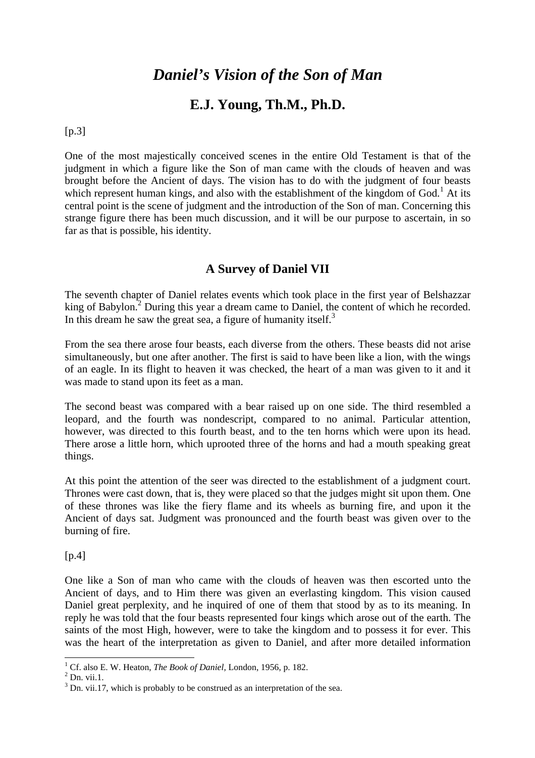# *Daniel's Vision of the Son of Man*

## **E.J. Young, Th.M., Ph.D.**

[p.3]

One of the most majestically conceived scenes in the entire Old Testament is that of the judgment in which a figure like the Son of man came with the clouds of heaven and was brought before the Ancient of days. The vision has to do with the judgment of four beasts which represent human kings, and also with the establishment of the kingdom of  $God.$ <sup>1</sup> At its central point is the scene of judgment and the introduction of the Son of man. Concerning this strange figure there has been much discussion, and it will be our purpose to ascertain, in so far as that is possible, his identity.

## **A Survey of Daniel VII**

The seventh chapter of Daniel relates events which took place in the first year of Belshazzar king of Babylon.<sup>2</sup> During this year a dream came to Daniel, the content of which he recorded. In this dream he saw the great sea, a figure of humanity itself. $3$ 

From the sea there arose four beasts, each diverse from the others. These beasts did not arise simultaneously, but one after another. The first is said to have been like a lion, with the wings of an eagle. In its flight to heaven it was checked, the heart of a man was given to it and it was made to stand upon its feet as a man.

The second beast was compared with a bear raised up on one side. The third resembled a leopard, and the fourth was nondescript, compared to no animal. Particular attention, however, was directed to this fourth beast, and to the ten horns which were upon its head. There arose a little horn, which uprooted three of the horns and had a mouth speaking great things.

At this point the attention of the seer was directed to the establishment of a judgment court. Thrones were cast down, that is, they were placed so that the judges might sit upon them. One of these thrones was like the fiery flame and its wheels as burning fire, and upon it the Ancient of days sat. Judgment was pronounced and the fourth beast was given over to the burning of fire.

 $[p.4]$ 

One like a Son of man who came with the clouds of heaven was then escorted unto the Ancient of days, and to Him there was given an everlasting kingdom. This vision caused Daniel great perplexity, and he inquired of one of them that stood by as to its meaning. In reply he was told that the four beasts represented four kings which arose out of the earth. The saints of the most High, however, were to take the kingdom and to possess it for ever. This was the heart of the interpretation as given to Daniel, and after more detailed information

<sup>1</sup> Cf. also E. W. Heaton, *The Book of Daniel,* London, 1956, p. 182.

 $^{2}$  Dn. vii.1.

 $3$  Dn. vii.17, which is probably to be construed as an interpretation of the sea.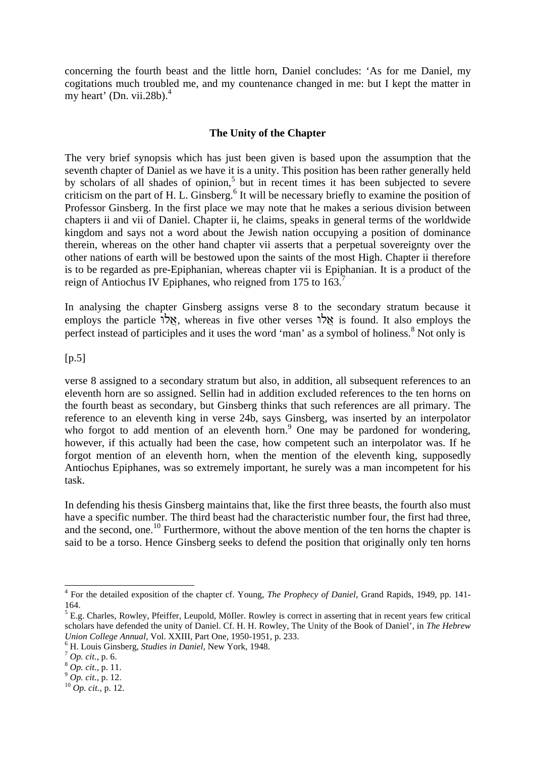concerning the fourth beast and the little horn, Daniel concludes: 'As for me Daniel, my cogitations much troubled me, and my countenance changed in me: but I kept the matter in my heart' (Dn. vii.28b). $<sup>4</sup>$ </sup>

#### **The Unity of the Chapter**

The very brief synopsis which has just been given is based upon the assumption that the seventh chapter of Daniel as we have it is a unity. This position has been rather generally held by scholars of all shades of opinion,<sup>5</sup> but in recent times it has been subjected to severe criticism on the part of H. L. Ginsberg.<sup>6</sup> It will be necessary briefly to examine the position of Professor Ginsberg. In the first place we may note that he makes a serious division between chapters ii and vii of Daniel. Chapter ii, he claims, speaks in general terms of the worldwide kingdom and says not a word about the Jewish nation occupying a position of dominance therein, whereas on the other hand chapter vii asserts that a perpetual sovereignty over the other nations of earth will be bestowed upon the saints of the most High. Chapter ii therefore is to be regarded as pre-Epiphanian, whereas chapter vii is Epiphanian. It is a product of the reign of Antiochus IV Epiphanes, who reigned from 175 to  $163<sup>7</sup>$ 

In analysing the chapter Ginsberg assigns verse 8 to the secondary stratum because it employs the particle  $\forall x$ , whereas in five other verses  $\forall x$  is found. It also employs the perfect instead of participles and it uses the word 'man' as a symbol of holiness.<sup>8</sup> Not only is

#### [p.5]

verse 8 assigned to a secondary stratum but also, in addition, all subsequent references to an eleventh horn are so assigned. Sellin had in addition excluded references to the ten horns on the fourth beast as secondary, but Ginsberg thinks that such references are all primary. The reference to an eleventh king in verse 24b, says Ginsberg, was inserted by an interpolator who forgot to add mention of an eleventh horn.<sup>9</sup> One may be pardoned for wondering, however, if this actually had been the case, how competent such an interpolator was. If he forgot mention of an eleventh horn, when the mention of the eleventh king, supposedly Antiochus Epiphanes, was so extremely important, he surely was a man incompetent for his task.

In defending his thesis Ginsberg maintains that, like the first three beasts, the fourth also must have a specific number. The third beast had the characteristic number four, the first had three, and the second, one.<sup>10</sup> Furthermore, without the above mention of the ten horns the chapter is said to be a torso. Hence Ginsberg seeks to defend the position that originally only ten horns

<sup>4</sup> For the detailed exposition of the chapter cf. Young, *The Prophecy of Daniel,* Grand Rapids, 1949, pp. 141- 164.

<sup>&</sup>lt;sup>5</sup> E.g. Charles, Rowley, Pfeiffer, Leupold, Möller. Rowley is correct in asserting that in recent years few critical scholars have defended the unity of Daniel. Cf. H. H. Rowley, The Unity of the Book of Daniel', in *The Hebrew Union College Annual,* Vol. XXIII, Part One, 1950-1951, p. 233.

<sup>6</sup> H. Louis Ginsberg, *Studies in Daniel,* New York, 1948.

<sup>7</sup> *Op. cit.,* p. 6.

<sup>8</sup> *Op. cit.,* p. 11.

<sup>9</sup> *Op. cit.,* p. 12.

<sup>10</sup> *Op. cit.,* p. 12.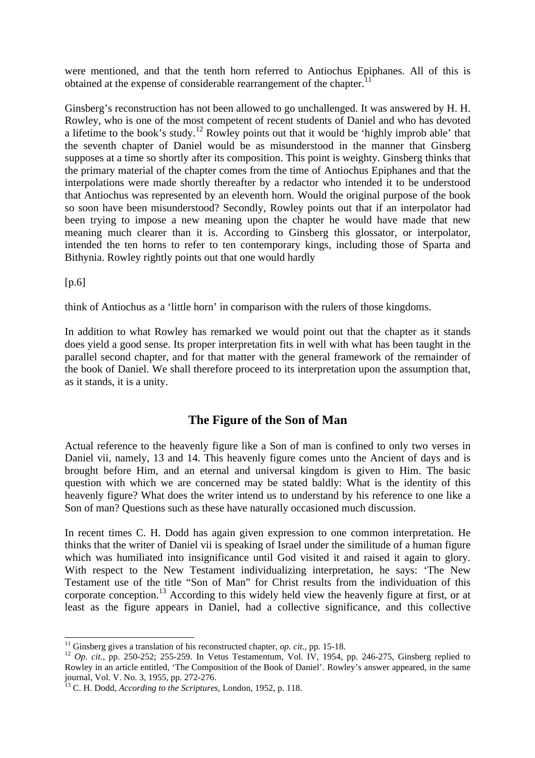were mentioned, and that the tenth horn referred to Antiochus Epiphanes. All of this is obtained at the expense of considerable rearrangement of the chapter.<sup>11</sup>

Ginsberg's reconstruction has not been allowed to go unchallenged. It was answered by H. H. Rowley, who is one of the most competent of recent students of Daniel and who has devoted a lifetime to the book's study.<sup>12</sup> Rowley points out that it would be 'highly improb able' that the seventh chapter of Daniel would be as misunderstood in the manner that Ginsberg supposes at a time so shortly after its composition. This point is weighty. Ginsberg thinks that the primary material of the chapter comes from the time of Antiochus Epiphanes and that the interpolations were made shortly thereafter by a redactor who intended it to be understood that Antiochus was represented by an eleventh horn. Would the original purpose of the book so soon have been misunderstood? Secondly, Rowley points out that if an interpolator had been trying to impose a new meaning upon the chapter he would have made that new meaning much clearer than it is. According to Ginsberg this glossator, or interpolator, intended the ten horns to refer to ten contemporary kings, including those of Sparta and Bithynia. Rowley rightly points out that one would hardly

 $[p.6]$ 

l

think of Antiochus as a 'little horn' in comparison with the rulers of those kingdoms.

In addition to what Rowley has remarked we would point out that the chapter as it stands does yield a good sense. Its proper interpretation fits in well with what has been taught in the parallel second chapter, and for that matter with the general framework of the remainder of the book of Daniel. We shall therefore proceed to its interpretation upon the assumption that, as it stands, it is a unity.

## **The Figure of the Son of Man**

Actual reference to the heavenly figure like a Son of man is confined to only two verses in Daniel vii, namely, 13 and 14. This heavenly figure comes unto the Ancient of days and is brought before Him, and an eternal and universal kingdom is given to Him. The basic question with which we are concerned may be stated baldly: What is the identity of this heavenly figure? What does the writer intend us to understand by his reference to one like a Son of man? Questions such as these have naturally occasioned much discussion.

In recent times C. H. Dodd has again given expression to one common interpretation. He thinks that the writer of Daniel vii is speaking of Israel under the similitude of a human figure which was humiliated into insignificance until God visited it and raised it again to glory. With respect to the New Testament individualizing interpretation, he says: 'The New Testament use of the title "Son of Man" for Christ results from the individuation of this corporate conception.<sup>13</sup> According to this widely held view the heavenly figure at first, or at least as the figure appears in Daniel, had a collective significance, and this collective

<sup>&</sup>lt;sup>11</sup> Ginsberg gives a translation of his reconstructed chapter, *op. cit.*, pp. 15-18.

<sup>&</sup>lt;sup>12</sup> *Op. cit.,* pp. 250-252; 255-259. In Vetus Testamentum, Vol. IV, 1954, pp. 246-275, Ginsberg replied to Rowley in an article entitled, 'The Composition of the Book of Daniel'. Rowley's answer appeared, in the same journal, Vol. V. No. 3, 1955, pp. 272-276.

<sup>13</sup> C. H. Dodd, *According to the Scriptures,* London, 1952, p. 118.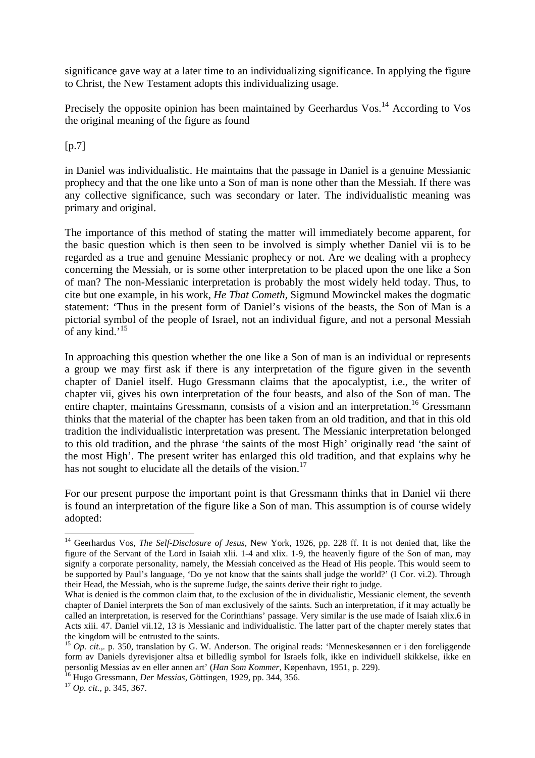significance gave way at a later time to an individualizing significance. In applying the figure to Christ, the New Testament adopts this individualizing usage.

Precisely the opposite opinion has been maintained by Geerhardus Vos.<sup>14</sup> According to Vos the original meaning of the figure as found

 $[p.7]$ 

in Daniel was individualistic. He maintains that the passage in Daniel is a genuine Messianic prophecy and that the one like unto a Son of man is none other than the Messiah. If there was any collective significance, such was secondary or later. The individualistic meaning was primary and original.

The importance of this method of stating the matter will immediately become apparent, for the basic question which is then seen to be involved is simply whether Daniel vii is to be regarded as a true and genuine Messianic prophecy or not. Are we dealing with a prophecy concerning the Messiah, or is some other interpretation to be placed upon the one like a Son of man? The non-Messianic interpretation is probably the most widely held today. Thus, to cite but one example, in his work, *He That Cometh,* Sigmund Mowinckel makes the dogmatic statement: 'Thus in the present form of Daniel's visions of the beasts, the Son of Man is a pictorial symbol of the people of Israel, not an individual figure, and not a personal Messiah of any kind.<sup>15</sup>

In approaching this question whether the one like a Son of man is an individual or represents a group we may first ask if there is any interpretation of the figure given in the seventh chapter of Daniel itself. Hugo Gressmann claims that the apocalyptist, i.e., the writer of chapter vii, gives his own interpretation of the four beasts, and also of the Son of man. The entire chapter, maintains Gressmann, consists of a vision and an interpretation.<sup>16</sup> Gressmann thinks that the material of the chapter has been taken from an old tradition, and that in this old tradition the individualistic interpretation was present. The Messianic interpretation belonged to this old tradition, and the phrase 'the saints of the most High' originally read 'the saint of the most High'. The present writer has enlarged this old tradition, and that explains why he has not sought to elucidate all the details of the vision.<sup>17</sup>

For our present purpose the important point is that Gressmann thinks that in Daniel vii there is found an interpretation of the figure like a Son of man. This assumption is of course widely adopted:

<sup>14</sup> Geerhardus Vos, *The Self-Disclosure of Jesus,* New York, 1926, pp. 228 ff. It is not denied that, like the figure of the Servant of the Lord in Isaiah xlii. 1-4 and xlix. 1-9, the heavenly figure of the Son of man, may signify a corporate personality, namely, the Messiah conceived as the Head of His people. This would seem to be supported by Paul's language, 'Do ye not know that the saints shall judge the world?' (I Cor. vi.2). Through their Head, the Messiah, who is the supreme Judge, the saints derive their right to judge.

What is denied is the common claim that, to the exclusion of the in dividualistic, Messianic element, the seventh chapter of Daniel interprets the Son of man exclusively of the saints. Such an interpretation, if it may actually be called an interpretation, is reserved for the Corinthians' passage. Very similar is the use made of Isaiah xlix.6 in Acts xiii. 47. Daniel vii.12, 13 is Messianic and individualistic. The latter part of the chapter merely states that the kingdom will be entrusted to the saints.

<sup>15</sup> *Op. cit.,.* p. 350, translation by G. W. Anderson. The original reads: 'Menneskesønnen er i den foreliggende form av Daniels dyrevisjoner altsa et billedlig symbol for Israels folk, ikke en individuell skikkelse, ikke en personlig Messias av en eller annen art' (*Han Som Kommer,* Køpenhavn, 1951, p. 229).

<sup>16</sup> Hugo Gressmann, *Der Messias,* Göttingen, 1929, pp. 344, 356.

<sup>17</sup> *Op. cit.,* p. 345, 367.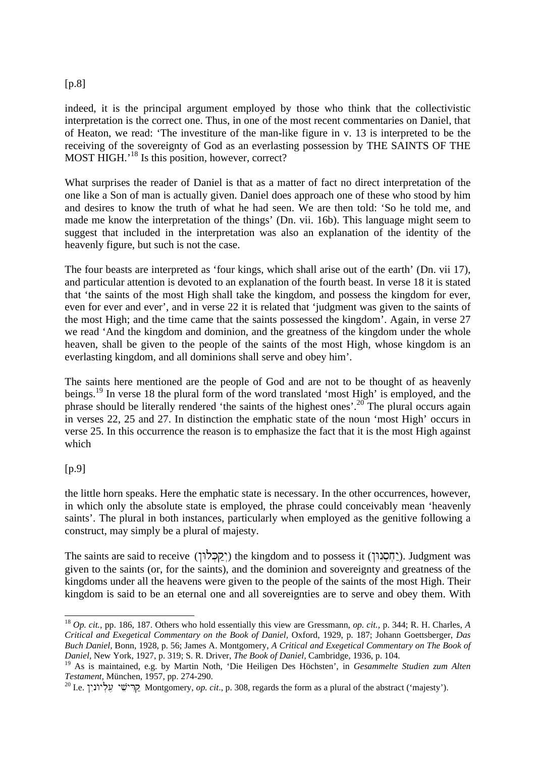#### [p.8]

indeed, it is the principal argument employed by those who think that the collectivistic interpretation is the correct one. Thus, in one of the most recent commentaries on Daniel, that of Heaton, we read: 'The investiture of the man-like figure in v. 13 is interpreted to be the receiving of the sovereignty of God as an everlasting possession by THE SAINTS OF THE MOST HIGH.<sup>18</sup> Is this position, however, correct?

What surprises the reader of Daniel is that as a matter of fact no direct interpretation of the one like a Son of man is actually given. Daniel does approach one of these who stood by him and desires to know the truth of what he had seen. We are then told: 'So he told me, and made me know the interpretation of the things' (Dn. vii. 16b). This language might seem to suggest that included in the interpretation was also an explanation of the identity of the heavenly figure, but such is not the case.

The four beasts are interpreted as 'four kings, which shall arise out of the earth' (Dn. vii 17), and particular attention is devoted to an explanation of the fourth beast. In verse 18 it is stated that 'the saints of the most High shall take the kingdom, and possess the kingdom for ever, even for ever and ever', and in verse 22 it is related that 'judgment was given to the saints of the most High; and the time came that the saints possessed the kingdom'. Again, in verse 27 we read 'And the kingdom and dominion, and the greatness of the kingdom under the whole heaven, shall be given to the people of the saints of the most High, whose kingdom is an everlasting kingdom, and all dominions shall serve and obey him'.

The saints here mentioned are the people of God and are not to be thought of as heavenly beings.<sup>19</sup> In verse 18 the plural form of the word translated 'most High' is employed, and the phrase should be literally rendered 'the saints of the highest ones'.<sup>20</sup> The plural occurs again in verses 22, 25 and 27. In distinction the emphatic state of the noun 'most High' occurs in verse 25. In this occurrence the reason is to emphasize the fact that it is the most High against which

## [p.9]

l

the little horn speaks. Here the emphatic state is necessary. In the other occurrences, however, in which only the absolute state is employed, the phrase could conceivably mean 'heavenly saints'. The plural in both instances, particularly when employed as the genitive following a construct, may simply be a plural of majesty.

The saints are said to receive (קְבְּלוּן) the kingdom and to possess it (יְחֻסוּוּן). Judgment was given to the saints (or, for the saints), and the dominion and sovereignty and greatness of the kingdoms under all the heavens were given to the people of the saints of the most High. Their kingdom is said to be an eternal one and all sovereignties are to serve and obey them. With

<sup>18</sup> *Op. cit.,* pp. 186, 187. Others who hold essentially this view are Gressmann, *op. cit.,* p. 344; R. H. Charles, *A Critical and Exegetical Commentary on the Book of Daniel,* Oxford, 1929, p. 187; Johann Goettsberger, *Das Buch Daniel,* Bonn, 1928, p. 56; James A. Montgomery, *A Critical and Exegetical Commentary on The Book of Daniel,* New York, 1927, p. 319; S. R. Driver, *The Book of Daniel,* Cambridge, 1936, p. 104.

<sup>19</sup> As is maintained, e.g. by Martin Noth, 'Die Heiligen Des Höchsten', in *Gesammelte Studien zum Alten Testament,* München, 1957, pp. 274-290.

<sup>&</sup>lt;sup>20</sup> I.e. קרישע עליונין Montgomery, *op. cit.*, p. 308, regards the form as a plural of the abstract ('majesty').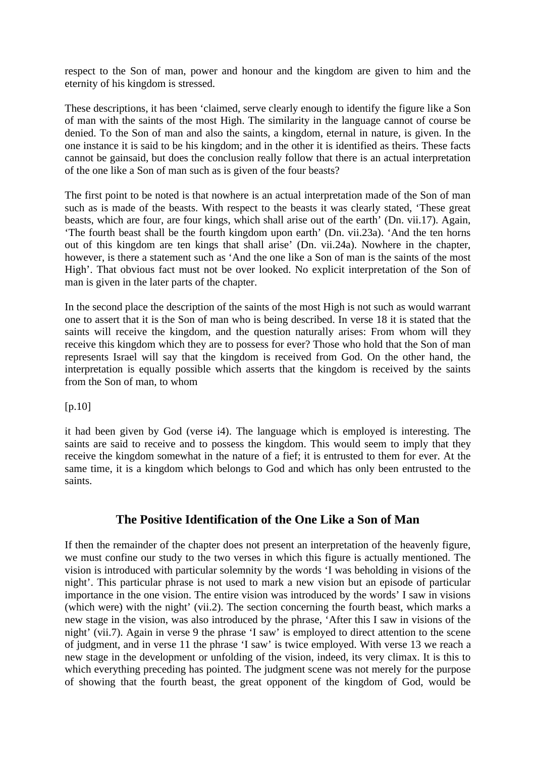respect to the Son of man, power and honour and the kingdom are given to him and the eternity of his kingdom is stressed.

These descriptions, it has been 'claimed, serve clearly enough to identify the figure like a Son of man with the saints of the most High. The similarity in the language cannot of course be denied. To the Son of man and also the saints, a kingdom, eternal in nature, is given. In the one instance it is said to be his kingdom; and in the other it is identified as theirs. These facts cannot be gainsaid, but does the conclusion really follow that there is an actual interpretation of the one like a Son of man such as is given of the four beasts?

The first point to be noted is that nowhere is an actual interpretation made of the Son of man such as is made of the beasts. With respect to the beasts it was clearly stated, 'These great beasts, which are four, are four kings, which shall arise out of the earth' (Dn. vii.17). Again, 'The fourth beast shall be the fourth kingdom upon earth' (Dn. vii.23a). 'And the ten horns out of this kingdom are ten kings that shall arise' (Dn. vii.24a). Nowhere in the chapter, however, is there a statement such as 'And the one like a Son of man is the saints of the most High'. That obvious fact must not be over looked. No explicit interpretation of the Son of man is given in the later parts of the chapter.

In the second place the description of the saints of the most High is not such as would warrant one to assert that it is the Son of man who is being described. In verse 18 it is stated that the saints will receive the kingdom, and the question naturally arises: From whom will they receive this kingdom which they are to possess for ever? Those who hold that the Son of man represents Israel will say that the kingdom is received from God. On the other hand, the interpretation is equally possible which asserts that the kingdom is received by the saints from the Son of man, to whom

[p.10]

it had been given by God (verse i4). The language which is employed is interesting. The saints are said to receive and to possess the kingdom. This would seem to imply that they receive the kingdom somewhat in the nature of a fief; it is entrusted to them for ever. At the same time, it is a kingdom which belongs to God and which has only been entrusted to the saints.

## **The Positive Identification of the One Like a Son of Man**

If then the remainder of the chapter does not present an interpretation of the heavenly figure, we must confine our study to the two verses in which this figure is actually mentioned. The vision is introduced with particular solemnity by the words 'I was beholding in visions of the night'. This particular phrase is not used to mark a new vision but an episode of particular importance in the one vision. The entire vision was introduced by the words' I saw in visions (which were) with the night' (vii.2). The section concerning the fourth beast, which marks a new stage in the vision, was also introduced by the phrase, 'After this I saw in visions of the night' (vii.7). Again in verse 9 the phrase 'I saw' is employed to direct attention to the scene of judgment, and in verse 11 the phrase 'I saw' is twice employed. With verse 13 we reach a new stage in the development or unfolding of the vision, indeed, its very climax. It is this to which everything preceding has pointed. The judgment scene was not merely for the purpose of showing that the fourth beast, the great opponent of the kingdom of God, would be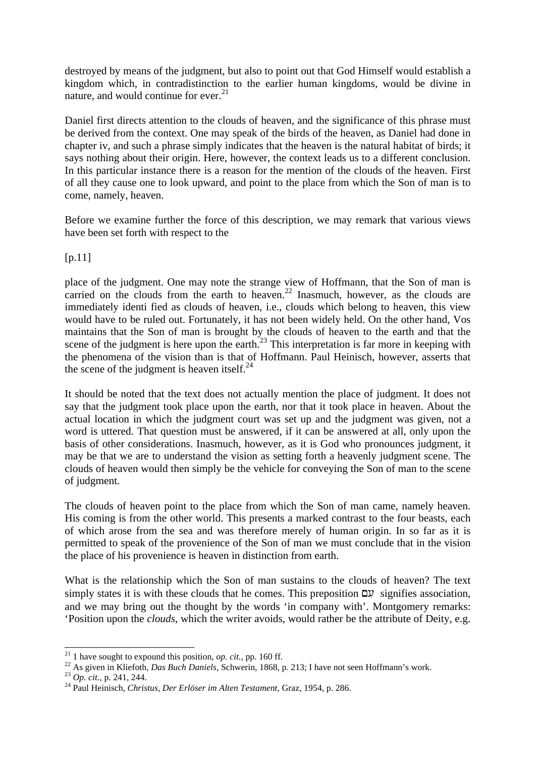destroyed by means of the judgment, but also to point out that God Himself would establish a kingdom which, in contradistinction to the earlier human kingdoms, would be divine in nature, and would continue for ever. $21$ 

Daniel first directs attention to the clouds of heaven, and the significance of this phrase must be derived from the context. One may speak of the birds of the heaven, as Daniel had done in chapter iv, and such a phrase simply indicates that the heaven is the natural habitat of birds; it says nothing about their origin. Here, however, the context leads us to a different conclusion. In this particular instance there is a reason for the mention of the clouds of the heaven. First of all they cause one to look upward, and point to the place from which the Son of man is to come, namely, heaven.

Before we examine further the force of this description, we may remark that various views have been set forth with respect to the

[p.11]

place of the judgment. One may note the strange view of Hoffmann, that the Son of man is carried on the clouds from the earth to heaven.<sup>22</sup> Inasmuch, however, as the clouds are immediately identi fied as clouds of heaven, i.e., clouds which belong to heaven, this view would have to be ruled out. Fortunately, it has not been widely held. On the other hand, Vos maintains that the Son of man is brought by the clouds of heaven to the earth and that the scene of the judgment is here upon the earth.<sup>23</sup> This interpretation is far more in keeping with the phenomena of the vision than is that of Hoffmann. Paul Heinisch, however, asserts that the scene of the judgment is heaven itself. $^{24}$ 

It should be noted that the text does not actually mention the place of judgment. It does not say that the judgment took place upon the earth, nor that it took place in heaven. About the actual location in which the judgment court was set up and the judgment was given, not a word is uttered. That question must be answered, if it can be answered at all, only upon the basis of other considerations. Inasmuch, however, as it is God who pronounces judgment, it may be that we are to understand the vision as setting forth a heavenly judgment scene. The clouds of heaven would then simply be the vehicle for conveying the Son of man to the scene of judgment.

The clouds of heaven point to the place from which the Son of man came, namely heaven. His coming is from the other world. This presents a marked contrast to the four beasts, each of which arose from the sea and was therefore merely of human origin. In so far as it is permitted to speak of the provenience of the Son of man we must conclude that in the vision the place of his provenience is heaven in distinction from earth.

What is the relationship which the Son of man sustains to the clouds of heaven? The text simply states it is with these clouds that he comes. This preposition  $\mathcal{Q}$  signifies association, and we may bring out the thought by the words 'in company with'. Montgomery remarks: 'Position upon the *clouds,* which the writer avoids, would rather be the attribute of Deity, e.g.

 $^{21}$  1 have sought to expound this position, *op. cit.*, pp. 160 ff.

<sup>&</sup>lt;sup>22</sup> As given in Kliefoth, *Das Buch Daniels*, Schwerin, 1868, p. 213; I have not seen Hoffmann's work.

<sup>23</sup> *Op. cit.,* p. 241, 244.

<sup>24</sup> Paul Heinisch, *Christus, Der Erlöser im Alten Testament,* Graz, 1954, p. 286.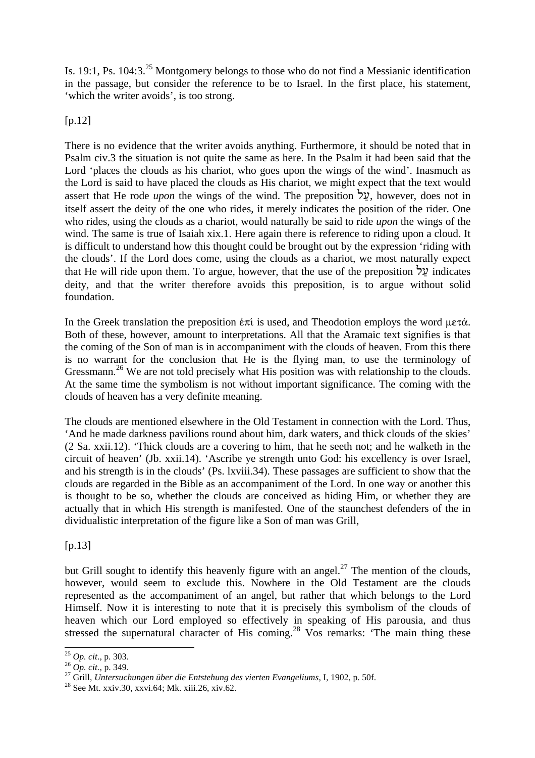Is. 19:1, Ps. 104:3.<sup>25</sup> Montgomery belongs to those who do not find a Messianic identification in the passage, but consider the reference to be to Israel. In the first place, his statement, 'which the writer avoids', is too strong.

 $[p.12]$ 

There is no evidence that the writer avoids anything. Furthermore, it should be noted that in Psalm civ.3 the situation is not quite the same as here. In the Psalm it had been said that the Lord 'places the clouds as his chariot, who goes upon the wings of the wind'. Inasmuch as the Lord is said to have placed the clouds as His chariot, we might expect that the text would assert that He rode *upon* the wings of the wind. The preposition  $\forall y$ , however, does not in itself assert the deity of the one who rides, it merely indicates the position of the rider. One who rides, using the clouds as a chariot, would naturally be said to ride *upon* the wings of the wind. The same is true of Isaiah xix.1. Here again there is reference to riding upon a cloud. It is difficult to understand how this thought could be brought out by the expression 'riding with the clouds'. If the Lord does come, using the clouds as a chariot, we most naturally expect that He will ride upon them. To argue, however, that the use of the preposition  $\forall y$  indicates deity, and that the writer therefore avoids this preposition, is to argue without solid foundation.

In the Greek translation the preposition  $\epsilon \pi i$  is used, and Theodotion employs the word  $\mu \epsilon \tau \alpha$ . Both of these, however, amount to interpretations. All that the Aramaic text signifies is that the coming of the Son of man is in accompaniment with the clouds of heaven. From this there is no warrant for the conclusion that He is the flying man, to use the terminology of Gressmann.<sup>26</sup> We are not told precisely what His position was with relationship to the clouds. At the same time the symbolism is not without important significance. The coming with the clouds of heaven has a very definite meaning.

The clouds are mentioned elsewhere in the Old Testament in connection with the Lord. Thus, 'And he made darkness pavilions round about him, dark waters, and thick clouds of the skies' (2 Sa. xxii.12). 'Thick clouds are a covering to him, that he seeth not; and he walketh in the circuit of heaven' (Jb. xxii.14). 'Ascribe ye strength unto God: his excellency is over Israel, and his strength is in the clouds' (Ps. lxviii.34). These passages are sufficient to show that the clouds are regarded in the Bible as an accompaniment of the Lord. In one way or another this is thought to be so, whether the clouds are conceived as hiding Him, or whether they are actually that in which His strength is manifested. One of the staunchest defenders of the in dividualistic interpretation of the figure like a Son of man was Grill,

 $[p.13]$ 

l

but Grill sought to identify this heavenly figure with an angel. $^{27}$  The mention of the clouds, however, would seem to exclude this. Nowhere in the Old Testament are the clouds represented as the accompaniment of an angel, but rather that which belongs to the Lord Himself. Now it is interesting to note that it is precisely this symbolism of the clouds of heaven which our Lord employed so effectively in speaking of His parousia, and thus stressed the supernatural character of His coming.<sup>28</sup> Vos remarks: 'The main thing these

<sup>25</sup> *Op. cit*., p. 303.

<sup>26</sup> *Op. cit.,* p. 349.

<sup>27</sup> Grill, *Untersuchungen über die Entstehung des vierten Evangeliums,* I, 1902, p. 50f.

 $^{28}$  See Mt. xxiv.30, xxvi.64; Mk. xiii.26, xiv.62.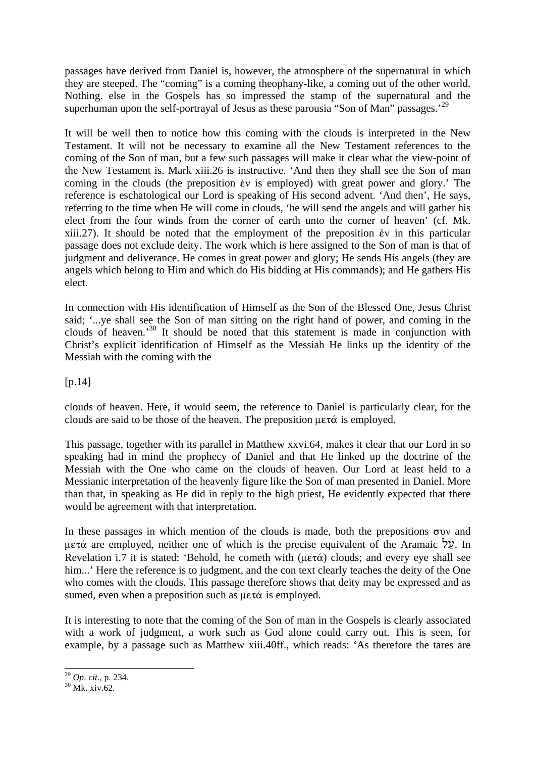passages have derived from Daniel is, however, the atmosphere of the supernatural in which they are steeped. The "coming" is a coming theophany-like, a coming out of the other world. Nothing. else in the Gospels has so impressed the stamp of the supernatural and the superhuman upon the self-portrayal of Jesus as these parousia "Son of Man" passages.<sup>29</sup>

It will be well then to notice how this coming with the clouds is interpreted in the New Testament. It will not be necessary to examine all the New Testament references to the coming of the Son of man, but a few such passages will make it clear what the view-point of the New Testament is. Mark xiii.26 is instructive. 'And then they shall see the Son of man coming in the clouds (the preposition  $\dot{\epsilon}$  is employed) with great power and glory.' The reference is eschatological our Lord is speaking of His second advent. 'And then', He says, referring to the time when He will come in clouds, 'he will send the angels and will gather his elect from the four winds from the corner of earth unto the corner of heaven' (cf. Mk. xiii.27). It should be noted that the employment of the preposition  $\dot{\epsilon}$  in this particular passage does not exclude deity. The work which is here assigned to the Son of man is that of judgment and deliverance. He comes in great power and glory; He sends His angels (they are angels which belong to Him and which do His bidding at His commands); and He gathers His elect.

In connection with His identification of Himself as the Son of the Blessed One, Jesus Christ said; '...ye shall see the Son of man sitting on the right hand of power, and coming in the clouds of heaven.'<sup>30</sup> It should be noted that this statement is made in conjunction with Christ's explicit identification of Himself as the Messiah He links up the identity of the Messiah with the coming with the

[p.14]

clouds of heaven. Here, it would seem, the reference to Daniel is particularly clear, for the clouds are said to be those of the heaven. The preposition  $\mu \in \mathcal{A}$  is employed.

This passage, together with its parallel in Matthew xxvi.64, makes it clear that our Lord in so speaking had in mind the prophecy of Daniel and that He linked up the doctrine of the Messiah with the One who came on the clouds of heaven. Our Lord at least held to a Messianic interpretation of the heavenly figure like the Son of man presented in Daniel. More than that, in speaking as He did in reply to the high priest, He evidently expected that there would be agreement with that interpretation.

In these passages in which mention of the clouds is made, both the prepositions  $\sigma$ v and  $\mu$ ετά are employed, neither one of which is the precise equivalent of the Aramaic  $\frac{1}{2}$ . In Revelation i.7 it is stated: 'Behold, he cometh with ( $\mu \epsilon \tau \alpha$ ) clouds; and every eye shall see him...' Here the reference is to judgment, and the con text clearly teaches the deity of the One who comes with the clouds. This passage therefore shows that deity may be expressed and as sumed, even when a preposition such as  $\mu \in \alpha$  is employed.

It is interesting to note that the coming of the Son of man in the Gospels is clearly associated with a work of judgment, a work such as God alone could carry out. This is seen, for example, by a passage such as Matthew xiii.40ff., which reads: 'As therefore the tares are

<sup>29</sup> *Op*. *cit.,* p. 234.

 $30$  Mk. xiv.62.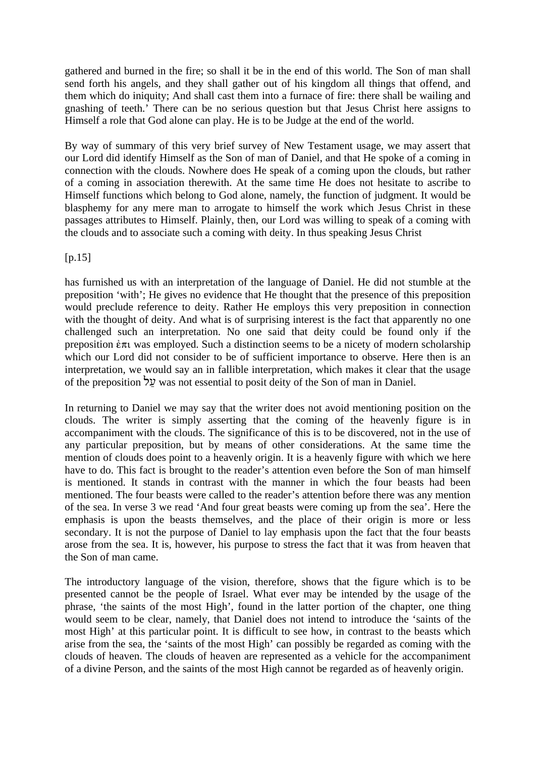gathered and burned in the fire; so shall it be in the end of this world. The Son of man shall send forth his angels, and they shall gather out of his kingdom all things that offend, and them which do iniquity; And shall cast them into a furnace of fire: there shall be wailing and gnashing of teeth.' There can be no serious question but that Jesus Christ here assigns to Himself a role that God alone can play. He is to be Judge at the end of the world.

By way of summary of this very brief survey of New Testament usage, we may assert that our Lord did identify Himself as the Son of man of Daniel, and that He spoke of a coming in connection with the clouds. Nowhere does He speak of a coming upon the clouds, but rather of a coming in association therewith. At the same time He does not hesitate to ascribe to Himself functions which belong to God alone, namely, the function of judgment. It would be blasphemy for any mere man to arrogate to himself the work which Jesus Christ in these passages attributes to Himself. Plainly, then, our Lord was willing to speak of a coming with the clouds and to associate such a coming with deity. In thus speaking Jesus Christ

 $[p.15]$ 

has furnished us with an interpretation of the language of Daniel. He did not stumble at the preposition 'with'; He gives no evidence that He thought that the presence of this preposition would preclude reference to deity. Rather He employs this very preposition in connection with the thought of deity. And what is of surprising interest is the fact that apparently no one challenged such an interpretation. No one said that deity could be found only if the preposition  $\dot{\epsilon}\pi\tau$  was employed. Such a distinction seems to be a nicety of modern scholarship which our Lord did not consider to be of sufficient importance to observe. Here then is an interpretation, we would say an in fallible interpretation, which makes it clear that the usage of the preposition lu^ was not essential to posit deity of the Son of man in Daniel.

In returning to Daniel we may say that the writer does not avoid mentioning position on the clouds. The writer is simply asserting that the coming of the heavenly figure is in accompaniment with the clouds. The significance of this is to be discovered, not in the use of any particular preposition, but by means of other considerations. At the same time the mention of clouds does point to a heavenly origin. It is a heavenly figure with which we here have to do. This fact is brought to the reader's attention even before the Son of man himself is mentioned. It stands in contrast with the manner in which the four beasts had been mentioned. The four beasts were called to the reader's attention before there was any mention of the sea. In verse 3 we read 'And four great beasts were coming up from the sea'. Here the emphasis is upon the beasts themselves, and the place of their origin is more or less secondary. It is not the purpose of Daniel to lay emphasis upon the fact that the four beasts arose from the sea. It is, however, his purpose to stress the fact that it was from heaven that the Son of man came.

The introductory language of the vision, therefore, shows that the figure which is to be presented cannot be the people of Israel. What ever may be intended by the usage of the phrase, 'the saints of the most High', found in the latter portion of the chapter, one thing would seem to be clear, namely, that Daniel does not intend to introduce the 'saints of the most High' at this particular point. It is difficult to see how, in contrast to the beasts which arise from the sea, the 'saints of the most High' can possibly be regarded as coming with the clouds of heaven. The clouds of heaven are represented as a vehicle for the accompaniment of a divine Person, and the saints of the most High cannot be regarded as of heavenly origin.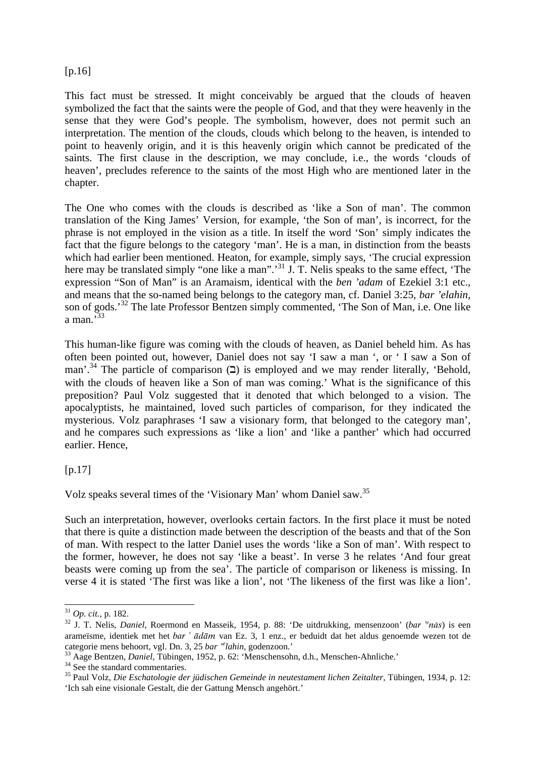#### [p.16]

This fact must be stressed. It might conceivably be argued that the clouds of heaven symbolized the fact that the saints were the people of God, and that they were heavenly in the sense that they were God's people. The symbolism, however, does not permit such an interpretation. The mention of the clouds, clouds which belong to the heaven, is intended to point to heavenly origin, and it is this heavenly origin which cannot be predicated of the saints. The first clause in the description, we may conclude, i.e., the words 'clouds of heaven', precludes reference to the saints of the most High who are mentioned later in the chapter.

The One who comes with the clouds is described as 'like a Son of man'. The common translation of the King James' Version, for example, 'the Son of man', is incorrect, for the phrase is not employed in the vision as a title. In itself the word 'Son' simply indicates the fact that the figure belongs to the category 'man'. He is a man, in distinction from the beasts which had earlier been mentioned. Heaton, for example, simply says, 'The crucial expression here may be translated simply "one like a man".<sup>31</sup> J. T. Nelis speaks to the same effect, 'The expression "Son of Man" is an Aramaism, identical with the *ben 'adam* of Ezekiel 3:1 etc., and means that the so-named being belongs to the category man, cf. Daniel 3:25, *bar 'elahin,* son of gods.<sup>32</sup> The late Professor Bentzen simply commented, 'The Son of Man, i.e. One like a man. $533$ 

This human-like figure was coming with the clouds of heaven, as Daniel beheld him. As has often been pointed out, however, Daniel does not say 'I saw a man ', or ' I saw a Son of man'.<sup>34</sup> The particle of comparison  $(2)$  is employed and we may render literally, 'Behold, with the clouds of heaven like a Son of man was coming.' What is the significance of this preposition? Paul Volz suggested that it denoted that which belonged to a vision. The apocalyptists, he maintained, loved such particles of comparison, for they indicated the mysterious. Volz paraphrases 'I saw a visionary form, that belonged to the category man', and he compares such expressions as 'like a lion' and 'like a panther' which had occurred earlier. Hence,

## $[n.17]$

Volz speaks several times of the 'Visionary Man' whom Daniel saw.<sup>35</sup>

Such an interpretation, however, overlooks certain factors. In the first place it must be noted that there is quite a distinction made between the description of the beasts and that of the Son of man. With respect to the latter Daniel uses the words 'like a Son of man'. With respect to the former, however, he does not say 'like a beast'. In verse 3 he relates 'And four great beasts were coming up from the sea'. The particle of comparison or likeness is missing. In verse 4 it is stated 'The first was like a lion', not 'The likeness of the first was like a lion'.

<sup>31</sup> *Op. cit.,* p. 182.

<sup>&</sup>lt;sup>32</sup> J. T. Nelis, *Daniel*, Roermond en Masseik, 1954, p. 88: 'De uitdrukking, mensenzoon' (bar <sup>se</sup>nås) is een arameïsme, identiek met het bar  $\partial \vec{a}$  and  $\vec{a}$ m van Ez. 3, 1 enz., er beduidt dat het aldus genoemde wezen tot de categorie mens behoort, vgl. Dn. 3, 25 *bar '<sup>e</sup> lahin,* godenzoon.'

<sup>33</sup> Aage Bentzen, *Daniel,* Tübingen, 1952, p. 62: 'Menschensohn, d.h., Menschen-Ahnliche.'

 $34$  See the standard commentaries.

<sup>&</sup>lt;sup>35</sup> Paul Volz, *Die Eschatologie der jüdischen Gemeinde in neutestament lichen Zeitalter*, Tübingen, 1934, p. 12: 'Ich sah eine visionale Gestalt, die der Gattung Mensch angehört.'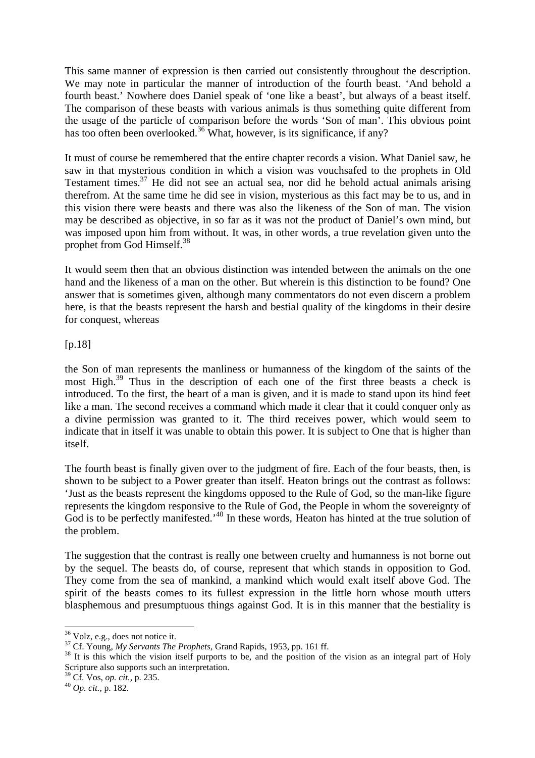This same manner of expression is then carried out consistently throughout the description. We may note in particular the manner of introduction of the fourth beast. 'And behold a fourth beast.' Nowhere does Daniel speak of 'one like a beast', but always of a beast itself. The comparison of these beasts with various animals is thus something quite different from the usage of the particle of comparison before the words 'Son of man'. This obvious point has too often been overlooked.<sup>36</sup> What, however, is its significance, if any?

It must of course be remembered that the entire chapter records a vision. What Daniel saw, he saw in that mysterious condition in which a vision was vouchsafed to the prophets in Old Testament times. $37$  He did not see an actual sea, nor did he behold actual animals arising therefrom. At the same time he did see in vision, mysterious as this fact may be to us, and in this vision there were beasts and there was also the likeness of the Son of man. The vision may be described as objective, in so far as it was not the product of Daniel's own mind, but was imposed upon him from without. It was, in other words, a true revelation given unto the prophet from God Himself.<sup>38</sup>

It would seem then that an obvious distinction was intended between the animals on the one hand and the likeness of a man on the other. But wherein is this distinction to be found? One answer that is sometimes given, although many commentators do not even discern a problem here, is that the beasts represent the harsh and bestial quality of the kingdoms in their desire for conquest, whereas

#### [p.18]

the Son of man represents the manliness or humanness of the kingdom of the saints of the most High.<sup>39</sup> Thus in the description of each one of the first three beasts a check is introduced. To the first, the heart of a man is given, and it is made to stand upon its hind feet like a man. The second receives a command which made it clear that it could conquer only as a divine permission was granted to it. The third receives power, which would seem to indicate that in itself it was unable to obtain this power. It is subject to One that is higher than itself.

The fourth beast is finally given over to the judgment of fire. Each of the four beasts, then, is shown to be subject to a Power greater than itself. Heaton brings out the contrast as follows: 'Just as the beasts represent the kingdoms opposed to the Rule of God, so the man-like figure represents the kingdom responsive to the Rule of God, the People in whom the sovereignty of God is to be perfectly manifested.<sup>40</sup> In these words, Heaton has hinted at the true solution of the problem.

The suggestion that the contrast is really one between cruelty and humanness is not borne out by the sequel. The beasts do, of course, represent that which stands in opposition to God. They come from the sea of mankind, a mankind which would exalt itself above God. The spirit of the beasts comes to its fullest expression in the little horn whose mouth utters blasphemous and presumptuous things against God. It is in this manner that the bestiality is

 $36$  Volz, e.g., does not notice it.

<sup>37</sup> Cf. Young, *My Servants The Prophets,* Grand Rapids, 1953, pp. 161 ff.

<sup>&</sup>lt;sup>38</sup> It is this which the vision itself purports to be, and the position of the vision as an integral part of Holy Scripture also supports such an interpretation.

<sup>39</sup> Cf. Vos, *op. cit.,* p. 235.

<sup>40</sup> *Op. cit.,* p. 182.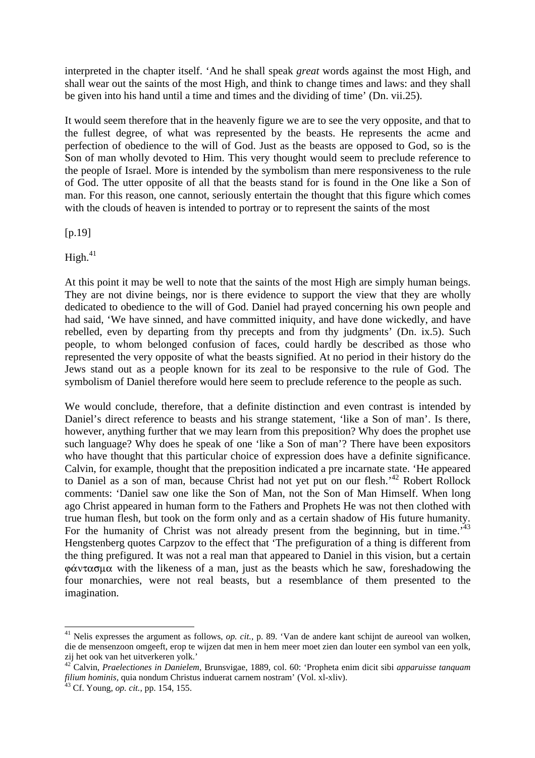interpreted in the chapter itself. 'And he shall speak *great* words against the most High, and shall wear out the saints of the most High, and think to change times and laws: and they shall be given into his hand until a time and times and the dividing of time' (Dn. vii.25).

It would seem therefore that in the heavenly figure we are to see the very opposite, and that to the fullest degree, of what was represented by the beasts. He represents the acme and perfection of obedience to the will of God. Just as the beasts are opposed to God, so is the Son of man wholly devoted to Him. This very thought would seem to preclude reference to the people of Israel. More is intended by the symbolism than mere responsiveness to the rule of God. The utter opposite of all that the beasts stand for is found in the One like a Son of man. For this reason, one cannot, seriously entertain the thought that this figure which comes with the clouds of heaven is intended to portray or to represent the saints of the most

[p.19]

 $High.<sup>41</sup>$ 

At this point it may be well to note that the saints of the most High are simply human beings. They are not divine beings, nor is there evidence to support the view that they are wholly dedicated to obedience to the will of God. Daniel had prayed concerning his own people and had said, 'We have sinned, and have committed iniquity, and have done wickedly, and have rebelled, even by departing from thy precepts and from thy judgments' (Dn. ix.5). Such people, to whom belonged confusion of faces, could hardly be described as those who represented the very opposite of what the beasts signified. At no period in their history do the Jews stand out as a people known for its zeal to be responsive to the rule of God. The symbolism of Daniel therefore would here seem to preclude reference to the people as such.

We would conclude, therefore, that a definite distinction and even contrast is intended by Daniel's direct reference to beasts and his strange statement, 'like a Son of man'. Is there, however, anything further that we may learn from this preposition? Why does the prophet use such language? Why does he speak of one 'like a Son of man'? There have been expositors who have thought that this particular choice of expression does have a definite significance. Calvin, for example, thought that the preposition indicated a pre incarnate state. 'He appeared to Daniel as a son of man, because Christ had not yet put on our flesh.<sup>42</sup> Robert Rollock comments: 'Daniel saw one like the Son of Man, not the Son of Man Himself. When long ago Christ appeared in human form to the Fathers and Prophets He was not then clothed with true human flesh, but took on the form only and as a certain shadow of His future humanity. For the humanity of Christ was not already present from the beginning, but in time.<sup>43</sup> Hengstenberg quotes Carpzov to the effect that 'The prefiguration of a thing is different from the thing prefigured. It was not a real man that appeared to Daniel in this vision, but a certain  $\phi \alpha$  with the likeness of a man, just as the beasts which he saw, foreshadowing the four monarchies, were not real beasts, but a resemblance of them presented to the imagination.

<sup>&</sup>lt;sup>41</sup> Nelis expresses the argument as follows, *op. cit.*, p. 89. 'Van de andere kant schijnt de aureool van wolken, die de mensenzoon omgeeft, erop te wijzen dat men in hem meer moet zien dan louter een symbol van een yolk, zij het ook van het uitverkeren yolk.'

<sup>42</sup> Calvin, *Praelectiones in Danielem,* Brunsvigae, 1889, col. 60: 'Propheta enim dicit sibi *apparuisse tanquam filium hominis,* quia nondum Christus induerat carnem nostram' (Vol. xl-xliv).

<sup>43</sup> Cf. Young, *op. cit.,* pp. 154, 155.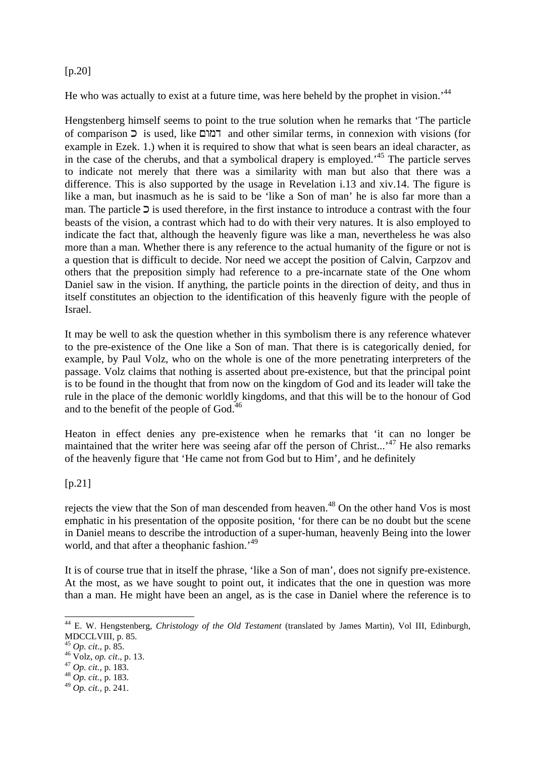## [p.20]

He who was actually to exist at a future time, was here beheld by the prophet in vision.<sup>44</sup>

Hengstenberg himself seems to point to the true solution when he remarks that 'The particle of comparison  $\overline{z}$  is used, like  $\overline{z}$  and other similar terms, in connexion with visions (for example in Ezek. 1.) when it is required to show that what is seen bears an ideal character, as in the case of the cherubs, and that a symbolical drapery is employed.'<sup>45</sup> The particle serves to indicate not merely that there was a similarity with man but also that there was a difference. This is also supported by the usage in Revelation i.13 and xiv.14. The figure is like a man, but inasmuch as he is said to be 'like a Son of man' he is also far more than a man. The particle  $\supset$  is used therefore, in the first instance to introduce a contrast with the four beasts of the vision, a contrast which had to do with their very natures. It is also employed to indicate the fact that, although the heavenly figure was like a man, nevertheless he was also more than a man. Whether there is any reference to the actual humanity of the figure or not is a question that is difficult to decide. Nor need we accept the position of Calvin, Carpzov and others that the preposition simply had reference to a pre-incarnate state of the One whom Daniel saw in the vision. If anything, the particle points in the direction of deity, and thus in itself constitutes an objection to the identification of this heavenly figure with the people of Israel.

It may be well to ask the question whether in this symbolism there is any reference whatever to the pre-existence of the One like a Son of man. That there is is categorically denied, for example, by Paul Volz, who on the whole is one of the more penetrating interpreters of the passage. Volz claims that nothing is asserted about pre-existence, but that the principal point is to be found in the thought that from now on the kingdom of God and its leader will take the rule in the place of the demonic worldly kingdoms, and that this will be to the honour of God and to the benefit of the people of God.<sup>46</sup>

Heaton in effect denies any pre-existence when he remarks that 'it can no longer be maintained that the writer here was seeing afar off the person of Christ...'<sup>47</sup> He also remarks of the heavenly figure that 'He came not from God but to Him', and he definitely

## [p.21]

rejects the view that the Son of man descended from heaven.<sup>48</sup> On the other hand Vos is most emphatic in his presentation of the opposite position, 'for there can be no doubt but the scene in Daniel means to describe the introduction of a super-human, heavenly Being into the lower world, and that after a theophanic fashion.<sup>49</sup>

It is of course true that in itself the phrase, 'like a Son of man', does not signify pre-existence. At the most, as we have sought to point out, it indicates that the one in question was more than a man. He might have been an angel, as is the case in Daniel where the reference is to

<sup>47</sup> *Op. cit.,* p. 183.

l <sup>44</sup> E. W. Hengstenberg, *Christology of the Old Testament* (translated by James Martin), Vol III, Edinburgh, MDCCLVIII, p. 85.

<sup>45</sup> *Op. cit*., p. 85.

<sup>46</sup> Volz, *op. cit*., p. 13.

<sup>48</sup> *Op. cit.,* p. 183.

<sup>49</sup> *Op. cit.,* p. 241.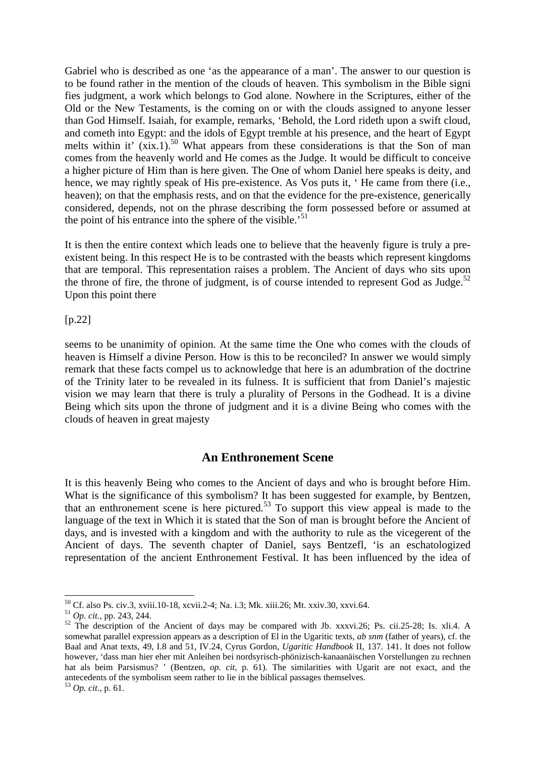Gabriel who is described as one 'as the appearance of a man'. The answer to our question is to be found rather in the mention of the clouds of heaven. This symbolism in the Bible signi fies judgment, a work which belongs to God alone. Nowhere in the Scriptures, either of the Old or the New Testaments, is the coming on or with the clouds assigned to anyone lesser than God Himself. Isaiah, for example, remarks, 'Behold, the Lord rideth upon a swift cloud, and cometh into Egypt: and the idols of Egypt tremble at his presence, and the heart of Egypt melts within it'  $(xix.1)$ <sup>50</sup> What appears from these considerations is that the Son of man comes from the heavenly world and He comes as the Judge. It would be difficult to conceive a higher picture of Him than is here given. The One of whom Daniel here speaks is deity, and hence, we may rightly speak of His pre-existence. As Vos puts it, 'He came from there (i.e., heaven); on that the emphasis rests, and on that the evidence for the pre-existence, generically considered, depends, not on the phrase describing the form possessed before or assumed at the point of his entrance into the sphere of the visible.'<sup>51</sup>

It is then the entire context which leads one to believe that the heavenly figure is truly a preexistent being. In this respect He is to be contrasted with the beasts which represent kingdoms that are temporal. This representation raises a problem. The Ancient of days who sits upon the throne of fire, the throne of judgment, is of course intended to represent God as Judge.<sup>52</sup> Upon this point there

[p.22]

seems to be unanimity of opinion. At the same time the One who comes with the clouds of heaven is Himself a divine Person. How is this to be reconciled? In answer we would simply remark that these facts compel us to acknowledge that here is an adumbration of the doctrine of the Trinity later to be revealed in its fulness. It is sufficient that from Daniel's majestic vision we may learn that there is truly a plurality of Persons in the Godhead. It is a divine Being which sits upon the throne of judgment and it is a divine Being who comes with the clouds of heaven in great majesty

## **An Enthronement Scene**

It is this heavenly Being who comes to the Ancient of days and who is brought before Him. What is the significance of this symbolism? It has been suggested for example, by Bentzen, that an enthronement scene is here pictured.<sup>53</sup> To support this view appeal is made to the language of the text in Which it is stated that the Son of man is brought before the Ancient of days, and is invested with a kingdom and with the authority to rule as the vicegerent of the Ancient of days. The seventh chapter of Daniel, says Bentzefl, 'is an eschatologized representation of the ancient Enthronement Festival. It has been influenced by the idea of

<sup>50</sup> Cf. also Ps. civ.3, xviii.10-18, xcvii.2-4; Na. i.3; Mk. xiii.26; Mt. xxiv.30, xxvi.64.

<sup>51</sup> *Op. cit.,* pp. 243, 244.

<sup>&</sup>lt;sup>52</sup> The description of the Ancient of days may be compared with Jb. xxxvi.26; Ps. cii.25-28; Is. xli.4. A somewhat parallel expression appears as a description of El in the Ugaritic texts, *ab snm* (father of years), cf. the Baal and Anat texts, 49, I.8 and 51, IV.24, Cyrus Gordon, *Ugaritic Handbook* II, 137. 141. It does not follow however, 'dass man hier eher mit Anleihen bei nordsyrisch-phönizisch-kanaanäischen Vorstellungen zu rechnen hat als beim Parsismus? ' (Bentzen, *op. cit*, p. 61). The similarities with Ugarit are not exact, and the antecedents of the symbolism seem rather to lie in the biblical passages themselves.

<sup>53</sup> *Op. cit*., p. 61.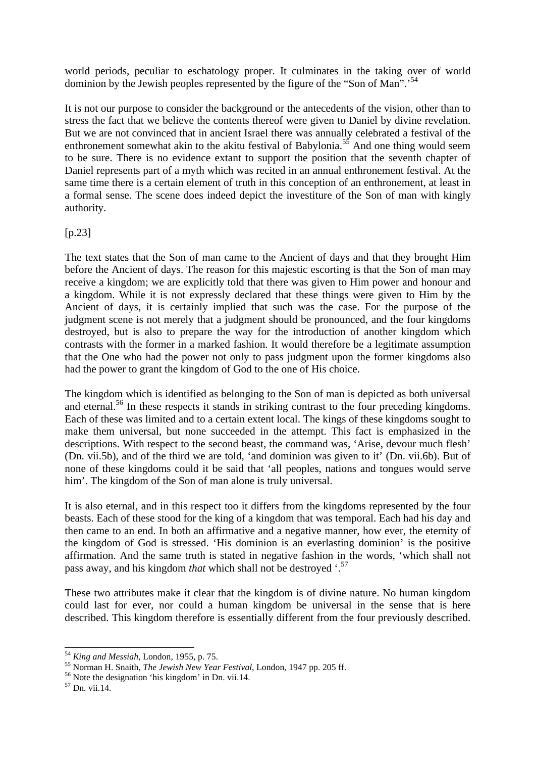world periods, peculiar to eschatology proper. It culminates in the taking over of world dominion by the Jewish peoples represented by the figure of the "Son of Man".<sup>54</sup>

It is not our purpose to consider the background or the antecedents of the vision, other than to stress the fact that we believe the contents thereof were given to Daniel by divine revelation. But we are not convinced that in ancient Israel there was annually celebrated a festival of the enthronement somewhat akin to the akitu festival of Babylonia.<sup>55</sup> And one thing would seem to be sure. There is no evidence extant to support the position that the seventh chapter of Daniel represents part of a myth which was recited in an annual enthronement festival. At the same time there is a certain element of truth in this conception of an enthronement, at least in a formal sense. The scene does indeed depict the investiture of the Son of man with kingly authority.

 $[p.23]$ 

The text states that the Son of man came to the Ancient of days and that they brought Him before the Ancient of days. The reason for this majestic escorting is that the Son of man may receive a kingdom; we are explicitly told that there was given to Him power and honour and a kingdom. While it is not expressly declared that these things were given to Him by the Ancient of days, it is certainly implied that such was the case. For the purpose of the judgment scene is not merely that a judgment should be pronounced, and the four kingdoms destroyed, but is also to prepare the way for the introduction of another kingdom which contrasts with the former in a marked fashion. It would therefore be a legitimate assumption that the One who had the power not only to pass judgment upon the former kingdoms also had the power to grant the kingdom of God to the one of His choice.

The kingdom which is identified as belonging to the Son of man is depicted as both universal and eternal.<sup>56</sup> In these respects it stands in striking contrast to the four preceding kingdoms. Each of these was limited and to a certain extent local. The kings of these kingdoms sought to make them universal, but none succeeded in the attempt. This fact is emphasized in the descriptions. With respect to the second beast, the command was, 'Arise, devour much flesh' (Dn. vii.5b), and of the third we are told, 'and dominion was given to it' (Dn. vii.6b). But of none of these kingdoms could it be said that 'all peoples, nations and tongues would serve him'. The kingdom of the Son of man alone is truly universal.

It is also eternal, and in this respect too it differs from the kingdoms represented by the four beasts. Each of these stood for the king of a kingdom that was temporal. Each had his day and then came to an end. In both an affirmative and a negative manner, how ever, the eternity of the kingdom of God is stressed. 'His dominion is an everlasting dominion' is the positive affirmation. And the same truth is stated in negative fashion in the words, 'which shall not pass away, and his kingdom *that* which shall not be destroyed '.<sup>57</sup>

These two attributes make it clear that the kingdom is of divine nature. No human kingdom could last for ever, nor could a human kingdom be universal in the sense that is here described. This kingdom therefore is essentially different from the four previously described.

<sup>54</sup> *King and Messiah*, London, 1955, p. 75.

<sup>55</sup> Norman H. Snaith, *The Jewish New Year Festival*, London, 1947 pp. 205 ff.

<sup>56</sup> Note the designation 'his kingdom' in Dn. vii.14.

 $57$  Dn. vii.14.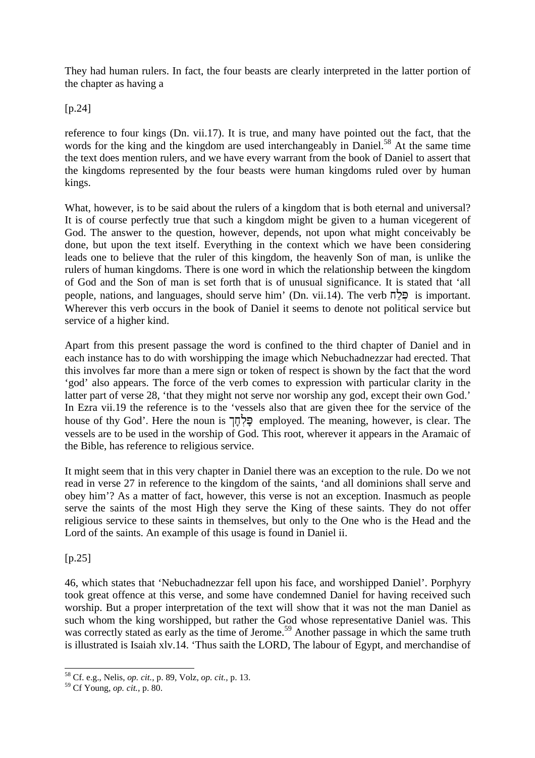They had human rulers. In fact, the four beasts are clearly interpreted in the latter portion of the chapter as having a

[p.24]

reference to four kings (Dn. vii.17). It is true, and many have pointed out the fact, that the words for the king and the kingdom are used interchangeably in Daniel.<sup>58</sup> At the same time the text does mention rulers, and we have every warrant from the book of Daniel to assert that the kingdoms represented by the four beasts were human kingdoms ruled over by human kings.

What, however, is to be said about the rulers of a kingdom that is both eternal and universal? It is of course perfectly true that such a kingdom might be given to a human vicegerent of God. The answer to the question, however, depends, not upon what might conceivably be done, but upon the text itself. Everything in the context which we have been considering leads one to believe that the ruler of this kingdom, the heavenly Son of man, is unlike the rulers of human kingdoms. There is one word in which the relationship between the kingdom of God and the Son of man is set forth that is of unusual significance. It is stated that 'all people, nations, and languages, should serve him' (Dn. vii.14). The verb  $\overline{\mathbb{C}}$  is important. Wherever this verb occurs in the book of Daniel it seems to denote not political service but service of a higher kind.

Apart from this present passage the word is confined to the third chapter of Daniel and in each instance has to do with worshipping the image which Nebuchadnezzar had erected. That this involves far more than a mere sign or token of respect is shown by the fact that the word 'god' also appears. The force of the verb comes to expression with particular clarity in the latter part of verse 28, 'that they might not serve nor worship any god, except their own God.' In Ezra vii.19 the reference is to the 'vessels also that are given thee for the service of the house of thy God'. Here the noun is  $\exists$ לחך employed. The meaning, however, is clear. The vessels are to be used in the worship of God. This root, wherever it appears in the Aramaic of the Bible, has reference to religious service.

It might seem that in this very chapter in Daniel there was an exception to the rule. Do we not read in verse 27 in reference to the kingdom of the saints, 'and all dominions shall serve and obey him'? As a matter of fact, however, this verse is not an exception. Inasmuch as people serve the saints of the most High they serve the King of these saints. They do not offer religious service to these saints in themselves, but only to the One who is the Head and the Lord of the saints. An example of this usage is found in Daniel ii.

[p.25]

46, which states that 'Nebuchadnezzar fell upon his face, and worshipped Daniel'. Porphyry took great offence at this verse, and some have condemned Daniel for having received such worship. But a proper interpretation of the text will show that it was not the man Daniel as such whom the king worshipped, but rather the God whose representative Daniel was. This was correctly stated as early as the time of Jerome.<sup>59</sup> Another passage in which the same truth is illustrated is Isaiah xlv.14. 'Thus saith the LORD, The labour of Egypt, and merchandise of

l <sup>58</sup> Cf. e.g., Nelis, *op. cit.,* p. 89, Volz, *op. cit.,* p. 13.

<sup>59</sup> Cf Young, *op. cit.,* p. 80.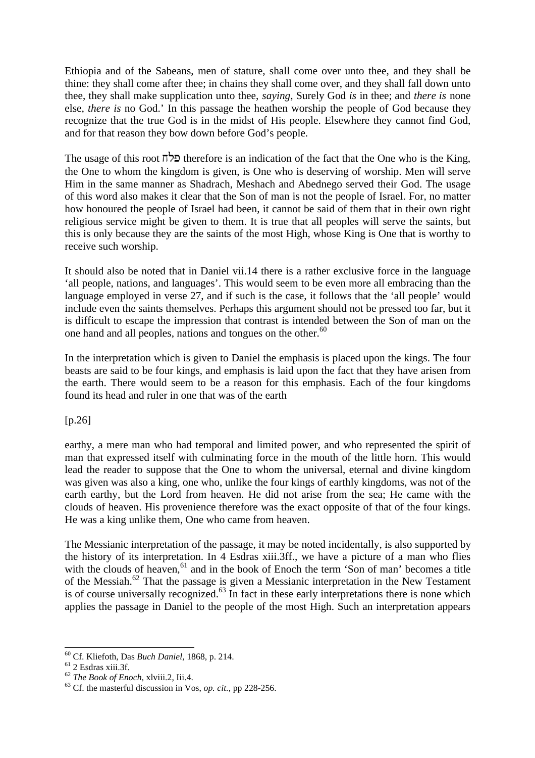Ethiopia and of the Sabeans, men of stature, shall come over unto thee, and they shall be thine: they shall come after thee; in chains they shall come over, and they shall fall down unto thee, they shall make supplication unto thee, *saying,* Surely God *is* in thee; and *there is* none else, *there is* no God.' In this passage the heathen worship the people of God because they recognize that the true God is in the midst of His people. Elsewhere they cannot find God, and for that reason they bow down before God's people.

The usage of this root  $\overline{n}$   $\overline{z}$  therefore is an indication of the fact that the One who is the King, the One to whom the kingdom is given, is One who is deserving of worship. Men will serve Him in the same manner as Shadrach, Meshach and Abednego served their God. The usage of this word also makes it clear that the Son of man is not the people of Israel. For, no matter how honoured the people of Israel had been, it cannot be said of them that in their own right religious service might be given to them. It is true that all peoples will serve the saints, but this is only because they are the saints of the most High, whose King is One that is worthy to receive such worship.

It should also be noted that in Daniel vii.14 there is a rather exclusive force in the language 'all people, nations, and languages'. This would seem to be even more all embracing than the language employed in verse 27, and if such is the case, it follows that the 'all people' would include even the saints themselves. Perhaps this argument should not be pressed too far, but it is difficult to escape the impression that contrast is intended between the Son of man on the one hand and all peoples, nations and tongues on the other.<sup>60</sup>

In the interpretation which is given to Daniel the emphasis is placed upon the kings. The four beasts are said to be four kings, and emphasis is laid upon the fact that they have arisen from the earth. There would seem to be a reason for this emphasis. Each of the four kingdoms found its head and ruler in one that was of the earth

[p.26]

earthy, a mere man who had temporal and limited power, and who represented the spirit of man that expressed itself with culminating force in the mouth of the little horn. This would lead the reader to suppose that the One to whom the universal, eternal and divine kingdom was given was also a king, one who, unlike the four kings of earthly kingdoms, was not of the earth earthy, but the Lord from heaven. He did not arise from the sea; He came with the clouds of heaven. His provenience therefore was the exact opposite of that of the four kings. He was a king unlike them, One who came from heaven.

The Messianic interpretation of the passage, it may be noted incidentally, is also supported by the history of its interpretation. In 4 Esdras xiii.3ff., we have a picture of a man who flies with the clouds of heaven, $61$  and in the book of Enoch the term 'Son of man' becomes a title of the Messiah.<sup>62</sup> That the passage is given a Messianic interpretation in the New Testament is of course universally recognized.<sup>63</sup> In fact in these early interpretations there is none which applies the passage in Daniel to the people of the most High. Such an interpretation appears

<sup>60</sup> Cf. Kliefoth, Das *Buch Daniel,* 1868, p. 214.

 $61$  2 Esdras xiii.3f.

<sup>62</sup> *The Book of Enoch,* xlviii.2, Iii.4.

<sup>63</sup> Cf. the masterful discussion in Vos, *op. cit.,* pp 228-256.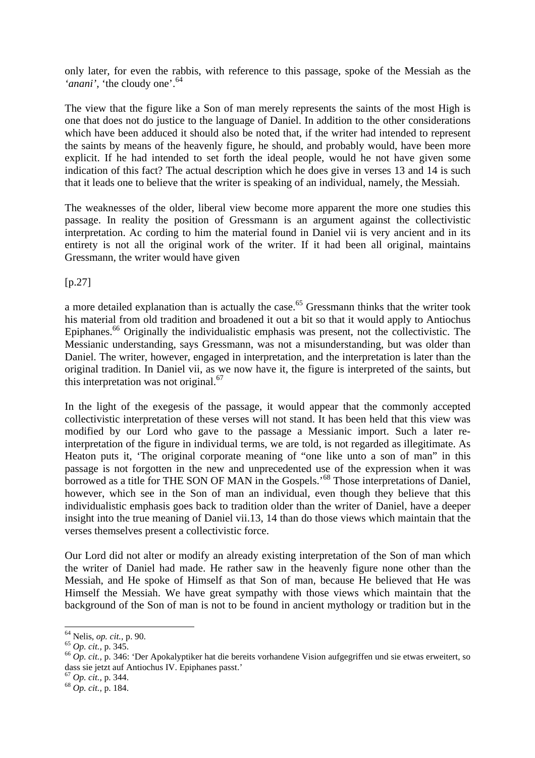only later, for even the rabbis, with reference to this passage, spoke of the Messiah as the '*anani*', 'the cloudy one'.<sup>64</sup>

The view that the figure like a Son of man merely represents the saints of the most High is one that does not do justice to the language of Daniel. In addition to the other considerations which have been adduced it should also be noted that, if the writer had intended to represent the saints by means of the heavenly figure, he should, and probably would, have been more explicit. If he had intended to set forth the ideal people, would he not have given some indication of this fact? The actual description which he does give in verses 13 and 14 is such that it leads one to believe that the writer is speaking of an individual, namely, the Messiah.

The weaknesses of the older, liberal view become more apparent the more one studies this passage. In reality the position of Gressmann is an argument against the collectivistic interpretation. Ac cording to him the material found in Daniel vii is very ancient and in its entirety is not all the original work of the writer. If it had been all original, maintains Gressmann, the writer would have given

 $[p.27]$ 

a more detailed explanation than is actually the case.<sup>65</sup> Gressmann thinks that the writer took his material from old tradition and broadened it out a bit so that it would apply to Antiochus Epiphanes.<sup>66</sup> Originally the individualistic emphasis was present, not the collectivistic. The Messianic understanding, says Gressmann, was not a misunderstanding, but was older than Daniel. The writer, however, engaged in interpretation, and the interpretation is later than the original tradition. In Daniel vii, as we now have it, the figure is interpreted of the saints, but this interpretation was not original.<sup>67</sup>

In the light of the exegesis of the passage, it would appear that the commonly accepted collectivistic interpretation of these verses will not stand. It has been held that this view was modified by our Lord who gave to the passage a Messianic import. Such a later reinterpretation of the figure in individual terms, we are told, is not regarded as illegitimate. As Heaton puts it, 'The original corporate meaning of "one like unto a son of man" in this passage is not forgotten in the new and unprecedented use of the expression when it was borrowed as a title for THE SON OF MAN in the Gospels.<sup>'68</sup> Those interpretations of Daniel, however, which see in the Son of man an individual, even though they believe that this individualistic emphasis goes back to tradition older than the writer of Daniel, have a deeper insight into the true meaning of Daniel vii.13, 14 than do those views which maintain that the verses themselves present a collectivistic force.

Our Lord did not alter or modify an already existing interpretation of the Son of man which the writer of Daniel had made. He rather saw in the heavenly figure none other than the Messiah, and He spoke of Himself as that Son of man, because He believed that He was Himself the Messiah. We have great sympathy with those views which maintain that the background of the Son of man is not to be found in ancient mythology or tradition but in the

<sup>64</sup> Nelis, *op. cit.,* p. 90.

<sup>65</sup> *Op. cit.,* p. 345.

<sup>&</sup>lt;sup>66</sup> Op. cit., p. 346: 'Der Apokalyptiker hat die bereits vorhandene Vision aufgegriffen und sie etwas erweitert, so dass sie jetzt auf Antiochus IV. Epiphanes passt.'

<sup>67</sup> *Op. cit.,* p. 344.

<sup>68</sup> *Op. cit.,* p. 184.